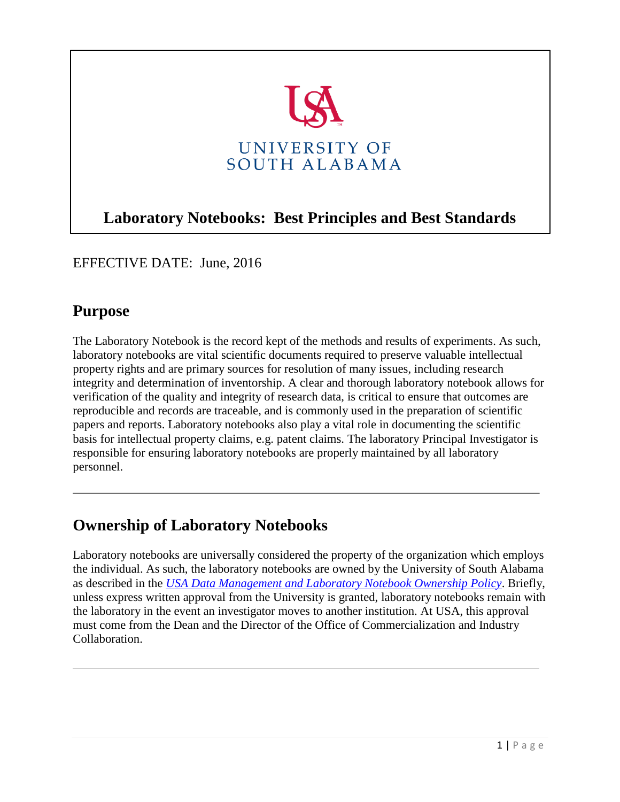

# **Laboratory Notebooks: Best Principles and Best Standards**

EFFECTIVE DATE: June, 2016

### **Purpose**

The Laboratory Notebook is the record kept of the methods and results of experiments. As such, laboratory notebooks are vital scientific documents required to preserve valuable intellectual property rights and are primary sources for resolution of many issues, including research integrity and determination of inventorship. A clear and thorough laboratory notebook allows for verification of the quality and integrity of research data, is critical to ensure that outcomes are reproducible and records are traceable, and is commonly used in the preparation of scientific papers and reports. Laboratory notebooks also play a vital role in documenting the scientific basis for intellectual property claims, e.g. patent claims. The laboratory Principal Investigator is responsible for ensuring laboratory notebooks are properly maintained by all laboratory personnel.

## **Ownership of Laboratory Notebooks**

Laboratory notebooks are universally considered the property of the organization which employs the individual. As such, the laboratory notebooks are owned by the University of South Alabama as described in the *USA Data Management and Laboratory Notebook Ownership Policy*. Briefly, unless express written approval from the University is granted, laboratory notebooks remain with the laboratory in the event an investigator moves to another institution. At USA, this approval must come from the Dean and the Director of the Office of Commercialization and Industry Collaboration.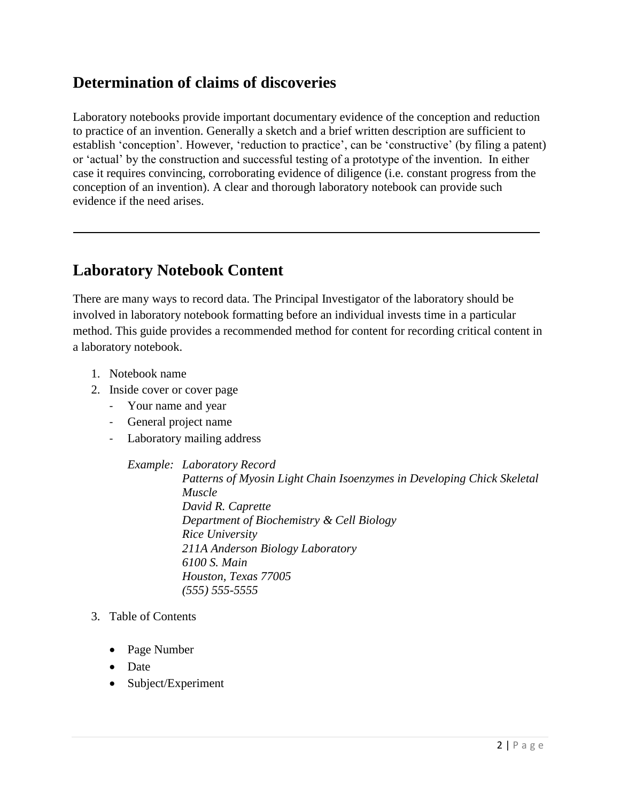## **Determination of claims of discoveries**

Laboratory notebooks provide important documentary evidence of the conception and reduction to practice of an invention. Generally a sketch and a brief written description are sufficient to establish 'conception'. However, 'reduction to practice', can be 'constructive' (by filing a patent) or 'actual' by the construction and successful testing of a prototype of the invention. In either case it requires convincing, corroborating evidence of diligence (i.e. constant progress from the conception of an invention). A clear and thorough laboratory notebook can provide such evidence if the need arises.

### **Laboratory Notebook Content**

There are many ways to record data. The Principal Investigator of the laboratory should be involved in laboratory notebook formatting before an individual invests time in a particular method. This guide provides a recommended method for content for recording critical content in a laboratory notebook.

- 1. Notebook name
- 2. Inside cover or cover page
	- Your name and year
	- General project name
	- Laboratory mailing address

*Example: Laboratory Record Patterns of Myosin Light Chain Isoenzymes in Developing Chick Skeletal Muscle David R. Caprette Department of Biochemistry & Cell Biology Rice University 211A Anderson Biology Laboratory 6100 S. Main Houston, Texas 77005 (555) 555-5555*

#### 3. Table of Contents

- Page Number
- Date
- Subject/Experiment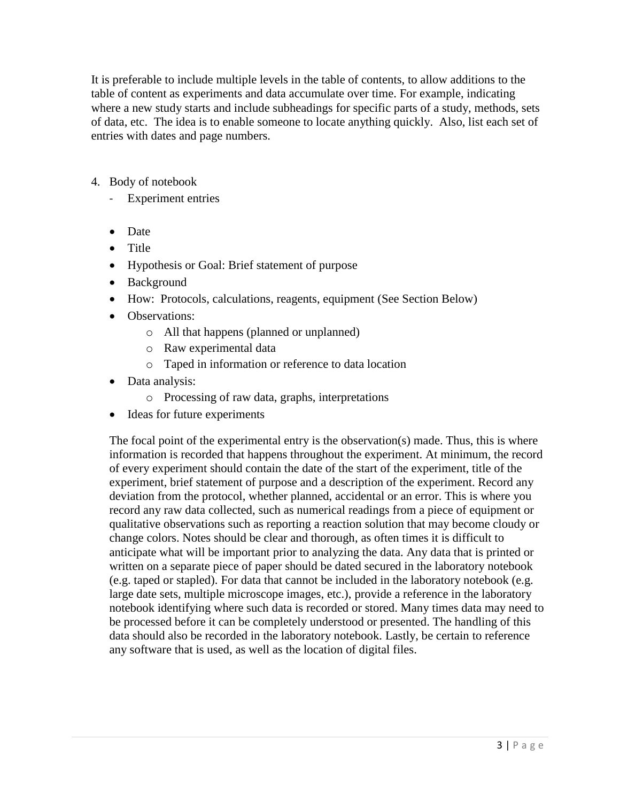It is preferable to include multiple levels in the table of contents, to allow additions to the table of content as experiments and data accumulate over time. For example, indicating where a new study starts and include subheadings for specific parts of a study, methods, sets of data, etc. The idea is to enable someone to locate anything quickly. Also, list each set of entries with dates and page numbers.

- 4. Body of notebook
	- Experiment entries
	- Date
	- Title
	- Hypothesis or Goal: Brief statement of purpose
	- Background
	- How: Protocols, calculations, reagents, equipment (See Section Below)
	- Observations:
		- o All that happens (planned or unplanned)
		- o Raw experimental data
		- o Taped in information or reference to data location
	- Data analysis:
		- o Processing of raw data, graphs, interpretations
	- Ideas for future experiments

The focal point of the experimental entry is the observation(s) made. Thus, this is where information is recorded that happens throughout the experiment. At minimum, the record of every experiment should contain the date of the start of the experiment, title of the experiment, brief statement of purpose and a description of the experiment. Record any deviation from the protocol, whether planned, accidental or an error. This is where you record any raw data collected, such as numerical readings from a piece of equipment or qualitative observations such as reporting a reaction solution that may become cloudy or change colors. Notes should be clear and thorough, as often times it is difficult to anticipate what will be important prior to analyzing the data. Any data that is printed or written on a separate piece of paper should be dated secured in the laboratory notebook (e.g. taped or stapled). For data that cannot be included in the laboratory notebook (e.g. large date sets, multiple microscope images, etc.), provide a reference in the laboratory notebook identifying where such data is recorded or stored. Many times data may need to be processed before it can be completely understood or presented. The handling of this data should also be recorded in the laboratory notebook. Lastly, be certain to reference any software that is used, as well as the location of digital files.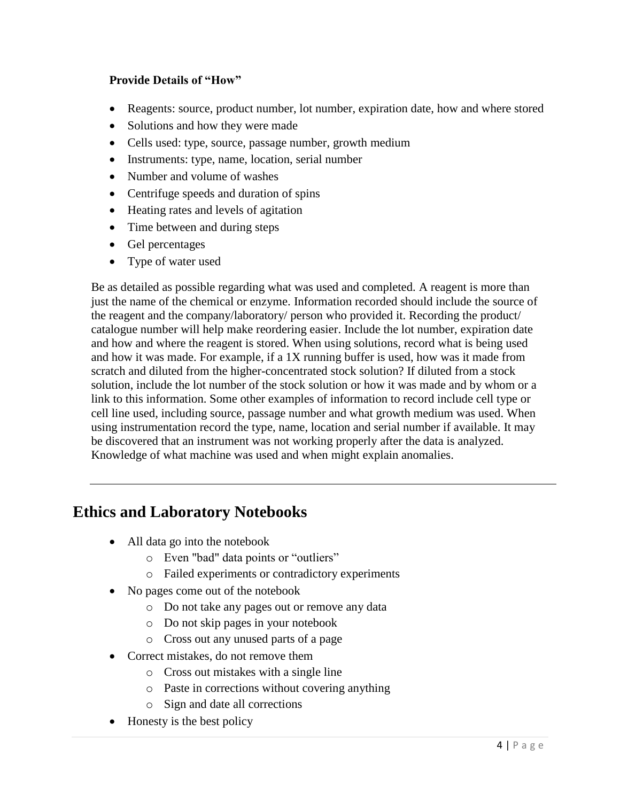#### **Provide Details of "How"**

- Reagents: source, product number, lot number, expiration date, how and where stored
- Solutions and how they were made
- Cells used: type, source, passage number, growth medium
- Instruments: type, name, location, serial number
- Number and volume of washes
- Centrifuge speeds and duration of spins
- Heating rates and levels of agitation
- Time between and during steps
- Gel percentages
- Type of water used

Be as detailed as possible regarding what was used and completed. A reagent is more than just the name of the chemical or enzyme. Information recorded should include the source of the reagent and the company/laboratory/ person who provided it. Recording the product/ catalogue number will help make reordering easier. Include the lot number, expiration date and how and where the reagent is stored. When using solutions, record what is being used and how it was made. For example, if a 1X running buffer is used, how was it made from scratch and diluted from the higher-concentrated stock solution? If diluted from a stock solution, include the lot number of the stock solution or how it was made and by whom or a link to this information. Some other examples of information to record include cell type or cell line used, including source, passage number and what growth medium was used. When using instrumentation record the type, name, location and serial number if available. It may be discovered that an instrument was not working properly after the data is analyzed. Knowledge of what machine was used and when might explain anomalies.

### **Ethics and Laboratory Notebooks**

- All data go into the notebook
	- o Even "bad" data points or "outliers"
	- o Failed experiments or contradictory experiments
- No pages come out of the notebook
	- o Do not take any pages out or remove any data
	- o Do not skip pages in your notebook
	- o Cross out any unused parts of a page
- Correct mistakes, do not remove them
	- o Cross out mistakes with a single line
	- o Paste in corrections without covering anything
	- o Sign and date all corrections
- Honesty is the best policy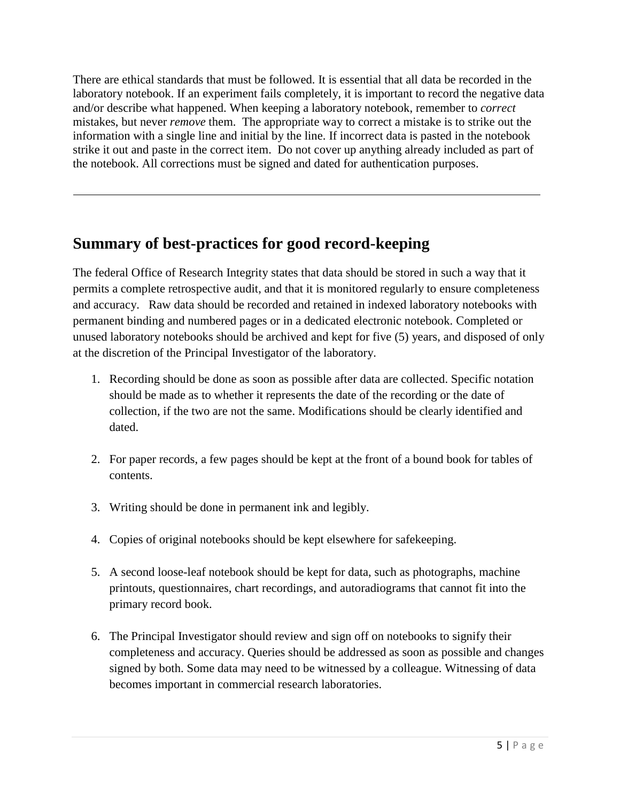There are ethical standards that must be followed. It is essential that all data be recorded in the laboratory notebook. If an experiment fails completely, it is important to record the negative data and/or describe what happened. When keeping a laboratory notebook, remember to *correct* mistakes, but never *remove* them. The appropriate way to correct a mistake is to strike out the information with a single line and initial by the line. If incorrect data is pasted in the notebook strike it out and paste in the correct item. Do not cover up anything already included as part of the notebook. All corrections must be signed and dated for authentication purposes.

## **Summary of best-practices for good record-keeping**

The federal Office of Research Integrity states that data should be stored in such a way that it permits a complete retrospective audit, and that it is monitored regularly to ensure completeness and accuracy. Raw data should be recorded and retained in indexed laboratory notebooks with permanent binding and numbered pages or in a dedicated electronic notebook. Completed or unused laboratory notebooks should be archived and kept for five (5) years, and disposed of only at the discretion of the Principal Investigator of the laboratory.

- 1. Recording should be done as soon as possible after data are collected. Specific notation should be made as to whether it represents the date of the recording or the date of collection, if the two are not the same. Modifications should be clearly identified and dated.
- 2. For paper records, a few pages should be kept at the front of a bound book for tables of contents.
- 3. Writing should be done in permanent ink and legibly.
- 4. Copies of original notebooks should be kept elsewhere for safekeeping.
- 5. A second loose-leaf notebook should be kept for data, such as photographs, machine printouts, questionnaires, chart recordings, and autoradiograms that cannot fit into the primary record book.
- 6. The Principal Investigator should review and sign off on notebooks to signify their completeness and accuracy. Queries should be addressed as soon as possible and changes signed by both. Some data may need to be witnessed by a colleague. Witnessing of data becomes important in commercial research laboratories.